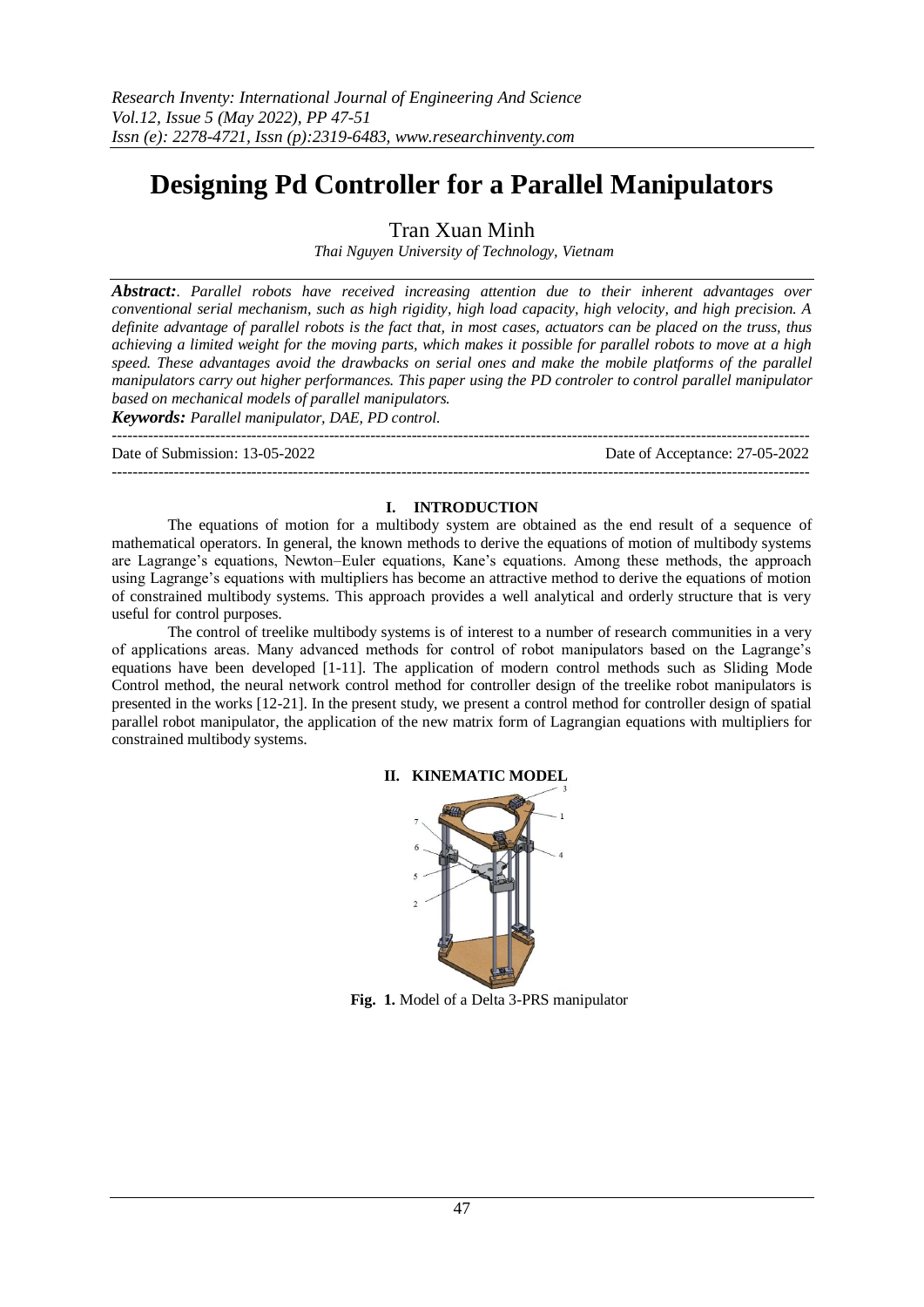# **Designing Pd Controller for a Parallel Manipulators**

Tran Xuan Minh

*Thai Nguyen University of Technology, Vietnam*

*Abstract:. Parallel robots have received increasing attention due to their inherent advantages over conventional serial mechanism, such as high rigidity, high load capacity, high velocity, and high precision. A definite advantage of parallel robots is the fact that, in most cases, actuators can be placed on the truss, thus achieving a limited weight for the moving parts, which makes it possible for parallel robots to move at a high speed. These advantages avoid the drawbacks on serial ones and make the mobile platforms of the parallel manipulators carry out higher performances. This paper using the PD controler to control parallel manipulator based on mechanical models of parallel manipulators.* 

*Keywords: Parallel manipulator, DAE, PD control.*

--------------------------------------------------------------------------------------------------------------------------------------- Date of Submission: 13-05-2022 Date of Acceptance: 27-05-2022 ---------------------------------------------------------------------------------------------------------------------------------------

## **I. INTRODUCTION**

The equations of motion for a multibody system are obtained as the end result of a sequence of mathematical operators. In general, the known methods to derive the equations of motion of multibody systems are Lagrange's equations, Newton–Euler equations, Kane's equations. Among these methods, the approach using Lagrange's equations with multipliers has become an attractive method to derive the equations of motion of constrained multibody systems. This approach provides a well analytical and orderly structure that is very useful for control purposes.

The control of treelike multibody systems is of interest to a number of research communities in a very of applications areas. Many advanced methods for control of robot manipulators based on the Lagrange's equations have been developed [1-11]. The application of modern control methods such as Sliding Mode Control method, the neural network control method for controller design of the treelike robot manipulators is presented in the works [12-21]. In the present study, we present a control method for controller design of spatial parallel robot manipulator, the application of the new matrix form of Lagrangian equations with multipliers for constrained multibody systems.



## **II. KINEMATIC MODEL**

**Fig. 1.** Model of a Delta 3-PRS manipulator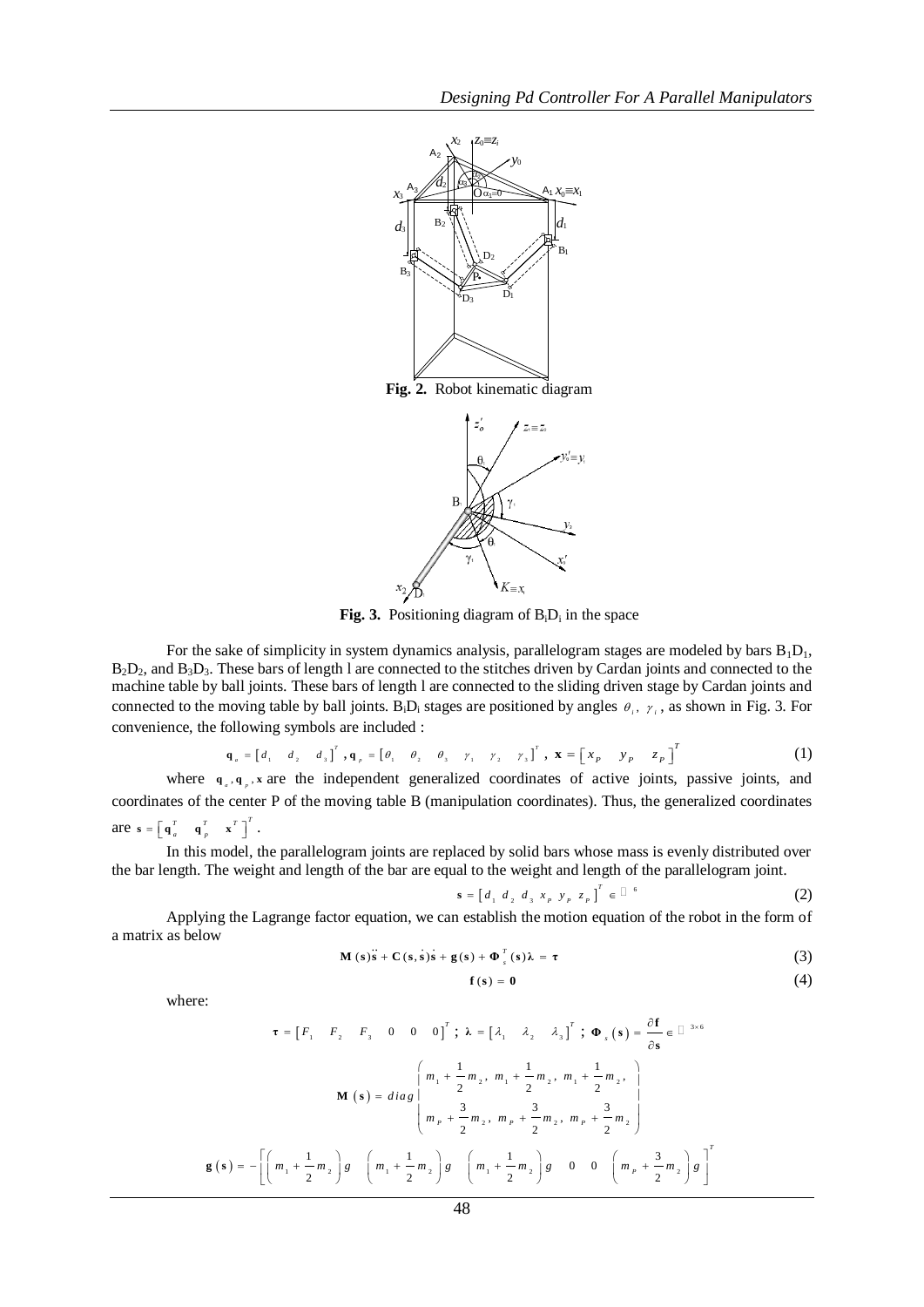

**Fig. 3.** Positioning diagram of  $B_iD_i$  in the space

For the sake of simplicity in system dynamics analysis, parallelogram stages are modeled by bars  $B_1D_1$ ,  $B_2D_2$ , and  $B_3D_3$ . These bars of length l are connected to the stitches driven by Cardan joints and connected to the machine table by ball joints. These bars of length l are connected to the sliding driven stage by Cardan joints and connected to the moving table by ball joints.  $B_iD_i$  stages are positioned by angles  $\theta_i$ ,  $\gamma_i$ , as shown in Fig. 3. For convenience, the following symbols are included :

$$
\mathbf{q}_{a} = \begin{bmatrix} d_{1} & d_{2} & d_{3} \end{bmatrix}^{T}, \mathbf{q}_{p} = \begin{bmatrix} \theta_{1} & \theta_{2} & \theta_{3} & \gamma_{1} & \gamma_{2} & \gamma_{3} \end{bmatrix}^{T}, \mathbf{x} = \begin{bmatrix} x_{p} & y_{p} & z_{p} \end{bmatrix}^{T}
$$
(1)

where  $\mathbf{q}_{\alpha}$ ,  $\mathbf{q}_{\beta}$ , x are the independent generalized coordinates of active joints, passive joints, and coordinates of the center P of the moving table B (manipulation coordinates). Thus, the generalized coordinates are  $\mathbf{s} = \begin{bmatrix} \mathbf{q}_a^T & \mathbf{q}_p^T & \mathbf{x}^T \end{bmatrix}^T$ .

In this model, the parallelogram joints are replaced by solid bars whose mass is evenly distributed over the bar length. The weight and length of the bar are equal to the weight and length of the parallelogram joint.

$$
\mathbf{s} = \begin{bmatrix} d_1 & d_2 & d_3 & x_p & y_p & z_p \end{bmatrix}^T \in \square^6 \tag{2}
$$

Applying the Lagrange factor equation, we can establish the motion equation of the robot in the form of a matrix as below

$$
\mathbf{M}\left(s\right)\mathbf{s}+\mathbf{C}\left(s,s\right)\mathbf{s}+\mathbf{g}\left(s\right)+\mathbf{\Phi}_{s}^{T}\left(s\right)\lambda=\tau
$$
\n(3)

$$
\mathbf{f}\left(\mathbf{s}\right) = \mathbf{0} \tag{4}
$$

where:

$$
\tau = \begin{bmatrix} F_1 & F_2 & F_3 & 0 & 0 & 0 \end{bmatrix}^T; \ \lambda = \begin{bmatrix} \lambda_1 & \lambda_2 & \lambda_3 \end{bmatrix}^T; \ \Phi_s(s) = \frac{\partial \mathbf{f}}{\partial s} \in \mathbb{D}^{3 \times 6}
$$

$$
\mathbf{M}(s) = diag \begin{bmatrix} m_1 + \frac{1}{2} m_2, m_1 + \frac{1}{2} m_2, m_1 + \frac{1}{2} m_2, \\ m_p + \frac{3}{2} m_2, m_p + \frac{3}{2} m_2, m_p + \frac{3}{2} m_2 \end{bmatrix}
$$

$$
\mathbf{g}(s) = - \left[ \left( m_1 + \frac{1}{2} m_2 \right) g \left( m_1 + \frac{1}{2} m_2 \right) g \left( m_1 + \frac{1}{2} m_2 \right) g \left( 0 & 0 & \left( m_p + \frac{3}{2} m_2 \right) g \right]^T \right]
$$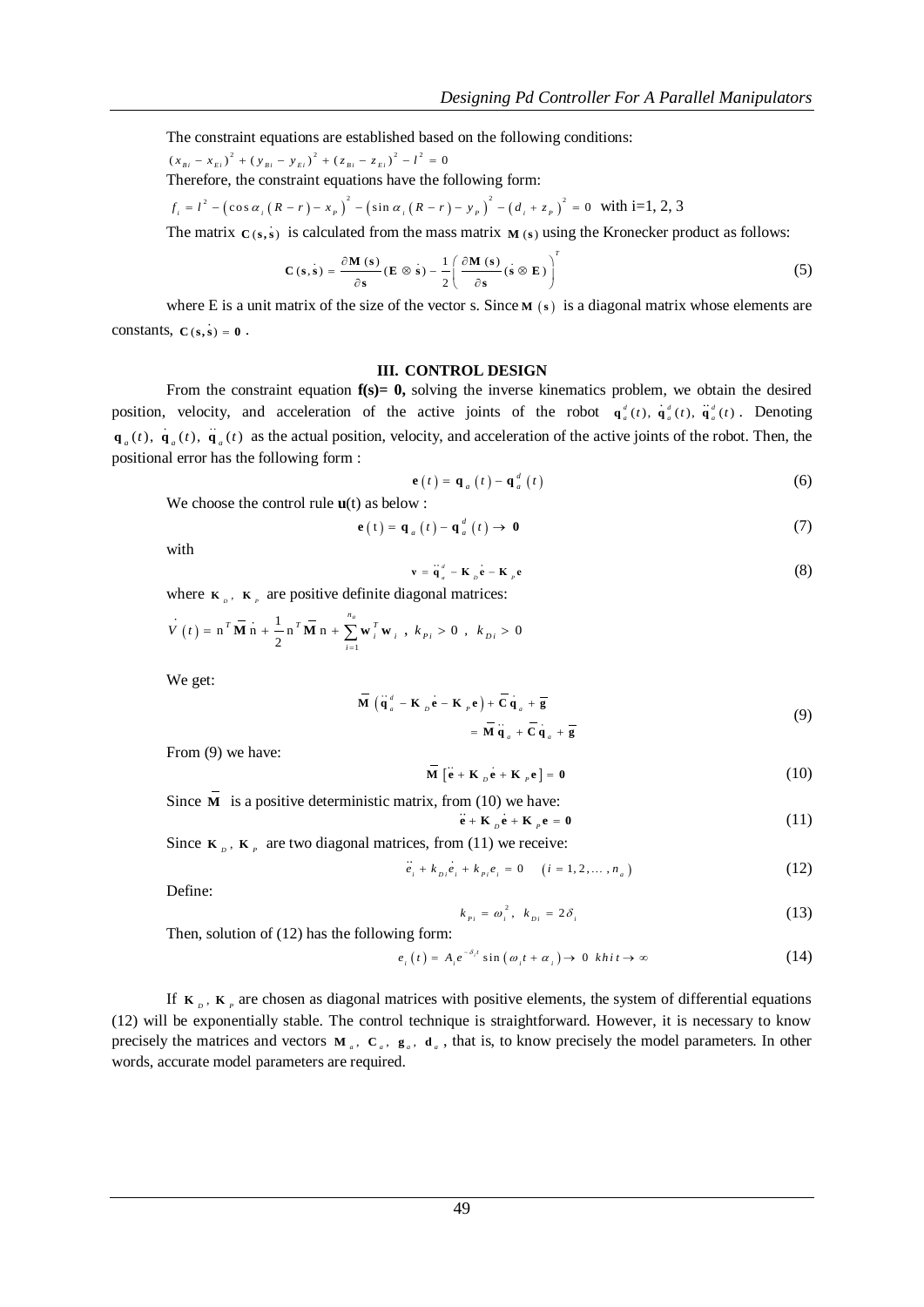The constraint equations are established based on the following conditions:

 $(x_{\overline{B}} - x_{\overline{E}})^2 + (y_{\overline{B}} - y_{\overline{E}})^2 + (z_{\overline{B}} - z_{\overline{E}})^2 - l^2 = 0$ 

Therefore, the constraint equations have the following form:  
\n
$$
f_i = l^2 - (\cos \alpha_i (R - r) - x_p)^2 - (\sin \alpha_i (R - r) - y_p)^2 - (d_i + z_p)^2 = 0
$$
 with i=1, 2, 3

The matrix  $C(s, s)$  is calculated from the mass matrix  $M(s)$  using the Kronecker product as follows:

$$
\mathbf{C}\left(\mathbf{s}, \dot{\mathbf{s}}\right) = \frac{\partial \mathbf{M}\left(\mathbf{s}\right)}{\partial \mathbf{s}} \left(\mathbf{E} \otimes \dot{\mathbf{s}}\right) - \frac{1}{2} \left(\frac{\partial \mathbf{M}\left(\mathbf{s}\right)}{\partial \mathbf{s}} \left(\dot{\mathbf{s}} \otimes \mathbf{E}\right)\right)^{T} \tag{5}
$$

where E is a unit matrix of the size of the vector s. Since  $M(s)$  is a diagonal matrix whose elements are constants,  $C(s, s) = 0$ .

## **III. CONTROL DESIGN**

From the constraint equation **f(s)= 0,** solving the inverse kinematics problem, we obtain the desired position, velocity, and acceleration of the active joints of the robot  $\mathbf{q}_a^d(t)$ ,  $\dot{\mathbf{q}}_a^d(t)$ . Denoting  $\mathbf{q}_a(t)$ ,  $\mathbf{q}_a(t)$ ,  $\mathbf{q}_a(t)$  as the actual position, velocity, and acceleration of the active joints of the robot. Then, the positional error has the following form :

$$
\mathbf{e}(t) = \mathbf{q}_a(t) - \mathbf{q}_a^d(t) \tag{6}
$$

We choose the control rule **u**(t) as below :

$$
\mathbf{e}(t) = \mathbf{q}_a(t) - \mathbf{q}_a^d(t) \to \mathbf{0}
$$
 (7)

with

$$
\mathbf{v} = \mathbf{q}_a^d - \mathbf{K}_b \mathbf{e} - \mathbf{K}_p \mathbf{e}
$$
 (8)

where  $\kappa_{\nu}$ ,  $\kappa_{\nu}$  are positive definite diagonal matrices:

$$
\dot{V}(t) = \mathbf{n}^T \overrightarrow{\mathbf{M}} \mathbf{n} + \frac{1}{2} \mathbf{n}^T \overrightarrow{\mathbf{M}} \mathbf{n} + \sum_{i=1}^{n_a} \mathbf{w}_i^T \mathbf{w}_i, k_{pi} > 0, k_{pi} > 0
$$

We get:

$$
\overline{\mathbf{M}} \left( \ddot{\mathbf{q}}_a^d - \mathbf{K}_{p} \mathbf{e} - \mathbf{K}_{p} \mathbf{e} \right) + \overline{\mathbf{C}} \mathbf{q}_a + \overline{\mathbf{g}} \\
= \overline{\mathbf{M}} \ddot{\mathbf{q}}_a + \overline{\mathbf{C}} \dot{\mathbf{q}}_a + \overline{\mathbf{g}} \tag{9}
$$

From (9) we have:

$$
\overline{\mathbf{M}} \left[ \mathbf{e} + \mathbf{K}_{p} \mathbf{e} + \mathbf{K}_{p} \mathbf{e} \right] = \mathbf{0}
$$
 (10)

Since M is a positive deterministic matrix, from (10) we have:  $\mathbf{e} + \mathbf{K}_p \mathbf{e} + \mathbf{K}_p \mathbf{e} = \mathbf{0}$  (11)

Since  $\mathbf{K}_p$ ,  $\mathbf{K}_p$  are two diagonal matrices, from (11) we receive:

$$
\dddot{e}_i + k_{i} \dot{e}_i + k_{i} \dot{e}_i = 0 \quad (i = 1, 2, ..., n_a)
$$
 (12)

Define:

$$
k_{pi} = \omega_i^2, \ k_{Di} = 2\delta_i \tag{13}
$$

Then, solution of (12) has the following form:

$$
e_i(t) = A_i e^{-\delta_i t} \sin(\omega_i t + \alpha_i) \to 0 \quad khi t \to \infty
$$
 (14)

If  $K_{p}$ ,  $K_{p}$  are chosen as diagonal matrices with positive elements, the system of differential equations (12) will be exponentially stable. The control technique is straightforward. However, it is necessary to know precisely the matrices and vectors  $M_a$ ,  $C_a$ ,  $g_a$ ,  $d_a$ , that is, to know precisely the model parameters. In other words, accurate model parameters are required.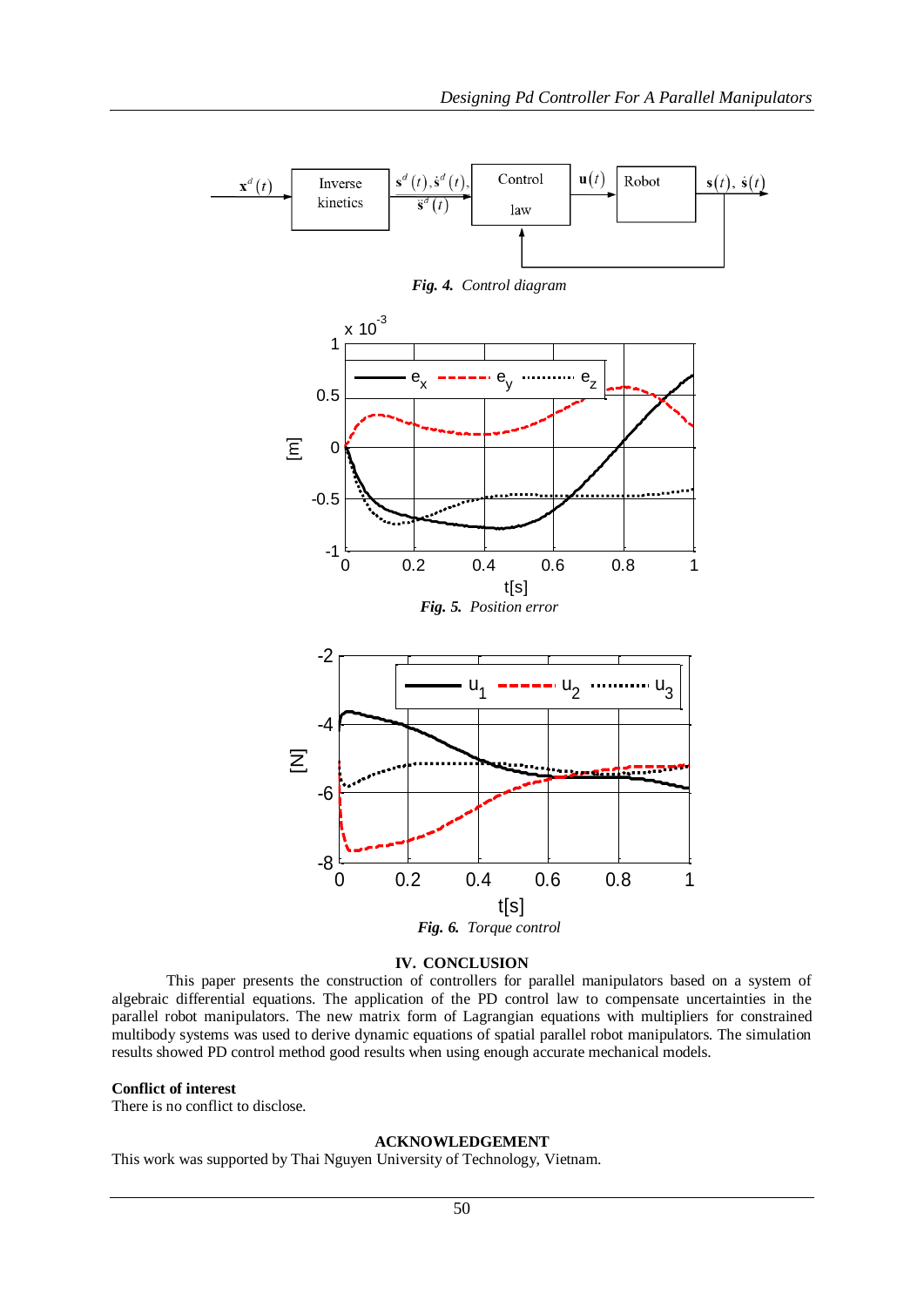



*Fig. 4. Control diagram*

## **IV. CONCLUSION**

This paper presents the construction of controllers for parallel manipulators based on a system of algebraic differential equations. The application of the PD control law to compensate uncertainties in the parallel robot manipulators. The new matrix form of Lagrangian equations with multipliers for constrained multibody systems was used to derive dynamic equations of spatial parallel robot manipulators. The simulation results showed PD control method good results when using enough accurate mechanical models.

## **Conflict of interest**

There is no conflict to disclose.

## **ACKNOWLEDGEMENT**

This work was supported by Thai Nguyen University of Technology, Vietnam.